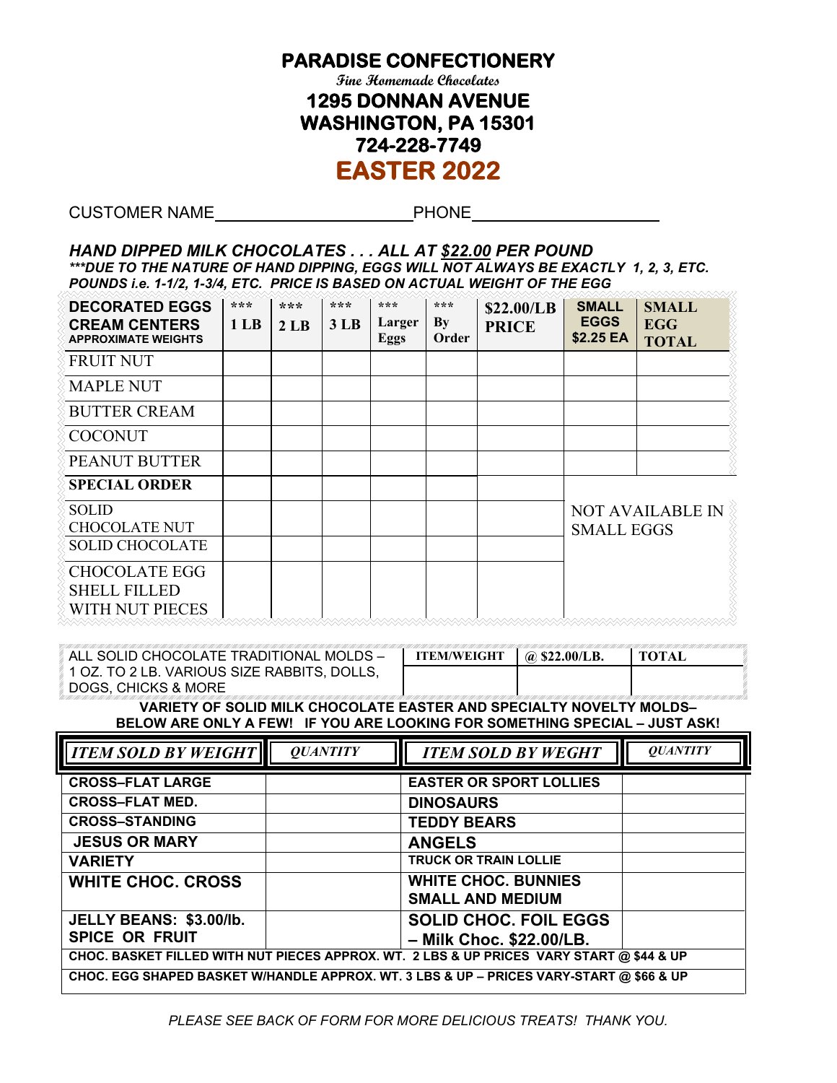## **PARADISE CONFECTIONERY**

**Fine Homemade Chocolates 1295 DONNAN AVENUE WASHINGTON, PA 15301 724-228-7749 EASTER 2022** 

CUSTOMER NAME PHONE

## *HAND DIPPED MILK CHOCOLATES . . . ALL AT \$22.00 PER POUND \*\*\*DUE TO THE NATURE OF HAND DIPPING, EGGS WILL NOT ALWAYS BE EXACTLY 1, 2, 3, ETC. POUNDS i.e. 1-1/2, 1-3/4, ETC. PRICE IS BASED ON ACTUAL WEIGHT OF THE EGG*

| <b>DECORATED EGGS</b><br><b>CREAM CENTERS</b><br><b>APPROXIMATE WEIGHTS</b> | ***<br>1 <sub>LB</sub> | ***<br>2 <sub>LB</sub> | $***$<br>3 <sub>LB</sub> | $* * *$<br>Larger<br><b>Eggs</b> | ***<br>$\mathbf{B}\mathbf{y}$<br>Order | \$22.00/LB<br><b>PRICE</b> | <b>SMALL</b><br><b>EGGS</b><br>\$2.25 EA                                               | <b>SMALL</b><br><b>EGG</b><br><b>TOTAL</b> |
|-----------------------------------------------------------------------------|------------------------|------------------------|--------------------------|----------------------------------|----------------------------------------|----------------------------|----------------------------------------------------------------------------------------|--------------------------------------------|
| <b>FRUIT NUT</b>                                                            |                        |                        |                          |                                  |                                        |                            |                                                                                        |                                            |
| <b>MAPLE NUT</b>                                                            |                        |                        |                          |                                  |                                        |                            |                                                                                        |                                            |
| <b>BUTTER CREAM</b>                                                         |                        |                        |                          |                                  |                                        |                            |                                                                                        |                                            |
| <b>COCONUT</b>                                                              |                        |                        |                          |                                  |                                        |                            |                                                                                        |                                            |
| <b>PEANUT BUTTER</b>                                                        |                        |                        |                          |                                  |                                        |                            |                                                                                        |                                            |
| <b>SPECIAL ORDER</b>                                                        |                        |                        |                          |                                  |                                        |                            |                                                                                        |                                            |
| <b>SOLID</b><br><b>CHOCOLATE NUT</b>                                        |                        |                        |                          |                                  |                                        |                            | <b>NOT AVAILABLE IN</b><br><b>SMALL EGGS</b><br><u>VAAAAAAAAAAAAAAAAAAAAAAAAAAAAAA</u> |                                            |
| <b>SOLID CHOCOLATE</b>                                                      |                        |                        |                          |                                  |                                        |                            |                                                                                        |                                            |
| <b>CHOCOLATE EGG</b><br><b>SHELL FILLED</b><br>WITH NUT PIECES              |                        |                        |                          |                                  |                                        |                            |                                                                                        |                                            |

| ⊟ALL SOLID CHOCOLATE TRADITIONAL MOLDS –         | <b>ITEM/WEIGHT</b> | $\Box$ @ \$22.00/LB. | <b>TOTAL</b> |
|--------------------------------------------------|--------------------|----------------------|--------------|
| $\,$ 1 OZ. TO 2 LB. VARIOUS SIZE RABBITS, DOLLS, |                    |                      |              |
| DOGS. CHICKS & MORE *                            |                    |                      |              |

**VARIETY OF SOLID MILK CHOCOLATE EASTER AND SPECIALTY NOVELTY MOLDS– BELOW ARE ONLY A FEW! IF YOU ARE LOOKING FOR SOMETHING SPECIAL – JUST ASK!**

| <b>TTEM SOLD BY WEIGHT</b>                                                               | <b>OUANTITY</b> | <b>ITEM SOLD BY WEGHT</b>                                | <b>OUANTITY</b> |  |  |  |
|------------------------------------------------------------------------------------------|-----------------|----------------------------------------------------------|-----------------|--|--|--|
| <b>CROSS-FLAT LARGE</b>                                                                  |                 | <b>EASTER OR SPORT LOLLIES</b>                           |                 |  |  |  |
| <b>CROSS-FLAT MED.</b>                                                                   |                 | <b>DINOSAURS</b>                                         |                 |  |  |  |
| <b>CROSS-STANDING</b>                                                                    |                 | <b>TEDDY BEARS</b>                                       |                 |  |  |  |
| <b>JESUS OR MARY</b>                                                                     |                 | <b>ANGELS</b>                                            |                 |  |  |  |
| <b>VARIETY</b>                                                                           |                 | <b>TRUCK OR TRAIN LOLLIE</b>                             |                 |  |  |  |
| <b>WHITE CHOC. CROSS</b>                                                                 |                 | <b>WHITE CHOC. BUNNIES</b><br><b>SMALL AND MEDIUM</b>    |                 |  |  |  |
| JELLY BEANS: \$3.00/lb.<br><b>SPICE OR FRUIT</b>                                         |                 | <b>SOLID CHOC. FOIL EGGS</b><br>- Milk Choc. \$22.00/LB. |                 |  |  |  |
| CHOC. BASKET FILLED WITH NUT PIECES APPROX. WT. 2 LBS & UP PRICES VARY START @ \$44 & UP |                 |                                                          |                 |  |  |  |
| CHOC. EGG SHAPED BASKET W/HANDLE APPROX. WT. 3 LBS & UP - PRICES VARY-START @ \$66 & UP  |                 |                                                          |                 |  |  |  |

*PLEASE SEE BACK OF FORM FOR MORE DELICIOUS TREATS! THANK YOU.*